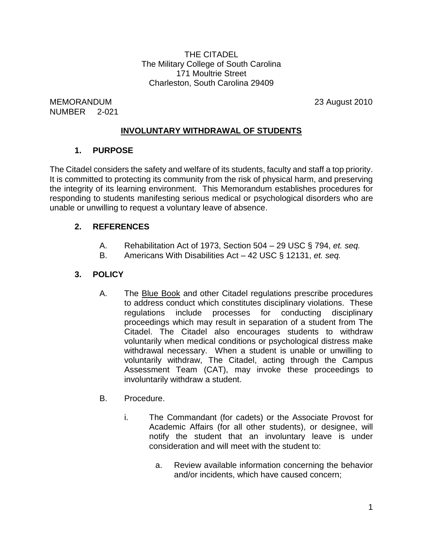THE CITADEL The Military College of South Carolina 171 Moultrie Street Charleston, South Carolina 29409

MEMORANDUM 23 August 2010 NUMBER 2-021

# **INVOLUNTARY WITHDRAWAL OF STUDENTS**

### **1. PURPOSE**

The Citadel considers the safety and welfare of its students, faculty and staff a top priority. It is committed to protecting its community from the risk of physical harm, and preserving the integrity of its learning environment. This Memorandum establishes procedures for responding to students manifesting serious medical or psychological disorders who are unable or unwilling to request a voluntary leave of absence.

### **2. REFERENCES**

- A. Rehabilitation Act of 1973, Section 504 29 USC § 794, *et. seq.*
- B. Americans With Disabilities Act 42 USC § 12131, *et. seq.*

# **3. POLICY**

- A. The Blue Book and other Citadel regulations prescribe procedures to address conduct which constitutes disciplinary violations. These regulations include processes for conducting disciplinary proceedings which may result in separation of a student from The Citadel. The Citadel also encourages students to withdraw voluntarily when medical conditions or psychological distress make withdrawal necessary. When a student is unable or unwilling to voluntarily withdraw, The Citadel, acting through the Campus Assessment Team (CAT), may invoke these proceedings to involuntarily withdraw a student.
- B. Procedure.
	- i. The Commandant (for cadets) or the Associate Provost for Academic Affairs (for all other students), or designee, will notify the student that an involuntary leave is under consideration and will meet with the student to:
		- a. Review available information concerning the behavior and/or incidents, which have caused concern;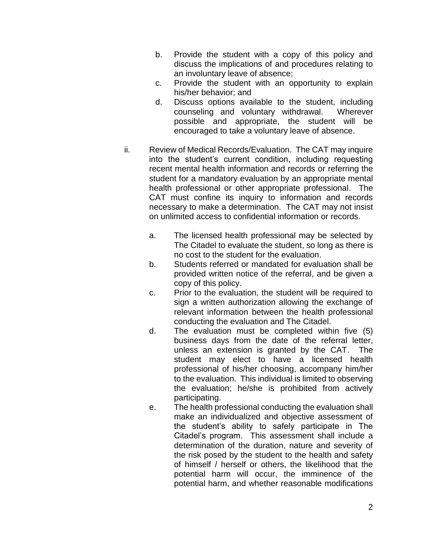- b. Provide the student with a copy of this policy and discuss the implications of and procedures relating to an involuntary leave of absence;
- c. Provide the student with an opportunity to explain his/her behavior; and
- d. Discuss options available to the student, including counseling and voluntary withdrawal. Wherever possible and appropriate, the student will be encouraged to take a voluntary leave of absence.
- ii. Review of Medical Records/Evaluation. The CAT may inquire into the student's current condition, including requesting recent mental health information and records or referring the student for a mandatory evaluation by an appropriate mental health professional or other appropriate professional. The CAT must confine its inquiry to information and records necessary to make a determination. The CAT may not insist on unlimited access to confidential information or records.
	- a. The licensed health professional may be selected by The Citadel to evaluate the student, so long as there is no cost to the student for the evaluation.
	- b. Students referred or mandated for evaluation shall be provided written notice of the referral, and be given a copy of this policy.
	- c. Prior to the evaluation, the student will be required to sign a written authorization allowing the exchange of relevant information between the health professional conducting the evaluation and The Citadel.
	- d. The evaluation must be completed within five (5) business days from the date of the referral letter, unless an extension is granted by the CAT. The student may elect to have a licensed health professional of his/her choosing, accompany him/her to the evaluation. This individual is limited to observing the evaluation; he/she is prohibited from actively participating.
	- e. The health professional conducting the evaluation shall make an individualized and objective assessment of the student's ability to safely participate in The Citadel's program. This assessment shall include a determination of the duration, nature and severity of the risk posed by the student to the health and safety of himself / herself or others, the likelihood that the potential harm will occur, the imminence of the potential harm, and whether reasonable modifications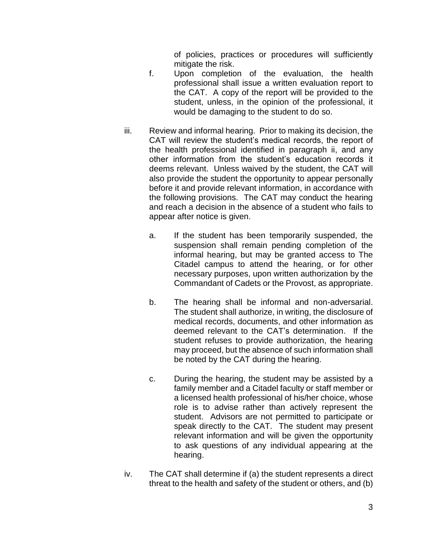of policies, practices or procedures will sufficiently mitigate the risk.

- f. Upon completion of the evaluation, the health professional shall issue a written evaluation report to the CAT. A copy of the report will be provided to the student, unless, in the opinion of the professional, it would be damaging to the student to do so.
- iii. Review and informal hearing. Prior to making its decision, the CAT will review the student's medical records, the report of the health professional identified in paragraph ii, and any other information from the student's education records it deems relevant. Unless waived by the student, the CAT will also provide the student the opportunity to appear personally before it and provide relevant information, in accordance with the following provisions. The CAT may conduct the hearing and reach a decision in the absence of a student who fails to appear after notice is given.
	- a. If the student has been temporarily suspended, the suspension shall remain pending completion of the informal hearing, but may be granted access to The Citadel campus to attend the hearing, or for other necessary purposes, upon written authorization by the Commandant of Cadets or the Provost, as appropriate.
	- b. The hearing shall be informal and non-adversarial. The student shall authorize, in writing, the disclosure of medical records, documents, and other information as deemed relevant to the CAT's determination. If the student refuses to provide authorization, the hearing may proceed, but the absence of such information shall be noted by the CAT during the hearing.
	- c. During the hearing, the student may be assisted by a family member and a Citadel faculty or staff member or a licensed health professional of his/her choice, whose role is to advise rather than actively represent the student. Advisors are not permitted to participate or speak directly to the CAT. The student may present relevant information and will be given the opportunity to ask questions of any individual appearing at the hearing.
- iv. The CAT shall determine if (a) the student represents a direct threat to the health and safety of the student or others, and (b)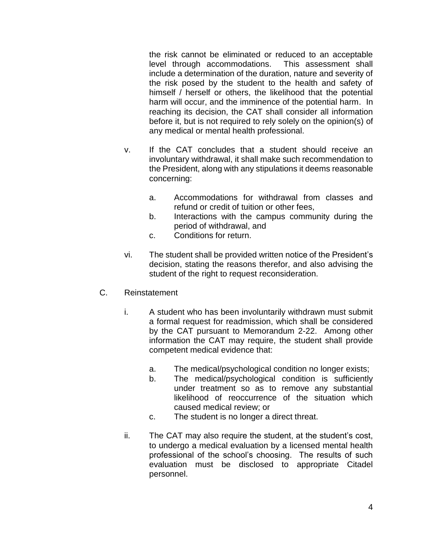the risk cannot be eliminated or reduced to an acceptable level through accommodations. This assessment shall include a determination of the duration, nature and severity of the risk posed by the student to the health and safety of himself / herself or others, the likelihood that the potential harm will occur, and the imminence of the potential harm. In reaching its decision, the CAT shall consider all information before it, but is not required to rely solely on the opinion(s) of any medical or mental health professional.

- v. If the CAT concludes that a student should receive an involuntary withdrawal, it shall make such recommendation to the President, along with any stipulations it deems reasonable concerning:
	- a. Accommodations for withdrawal from classes and refund or credit of tuition or other fees,
	- b. Interactions with the campus community during the period of withdrawal, and
	- c. Conditions for return.
- vi. The student shall be provided written notice of the President's decision, stating the reasons therefor, and also advising the student of the right to request reconsideration.
- C. Reinstatement
	- i. A student who has been involuntarily withdrawn must submit a formal request for readmission, which shall be considered by the CAT pursuant to Memorandum 2-22. Among other information the CAT may require, the student shall provide competent medical evidence that:
		- a. The medical/psychological condition no longer exists;
		- b. The medical/psychological condition is sufficiently under treatment so as to remove any substantial likelihood of reoccurrence of the situation which caused medical review; or
		- c. The student is no longer a direct threat.
	- ii. The CAT may also require the student, at the student's cost, to undergo a medical evaluation by a licensed mental health professional of the school's choosing. The results of such evaluation must be disclosed to appropriate Citadel personnel.